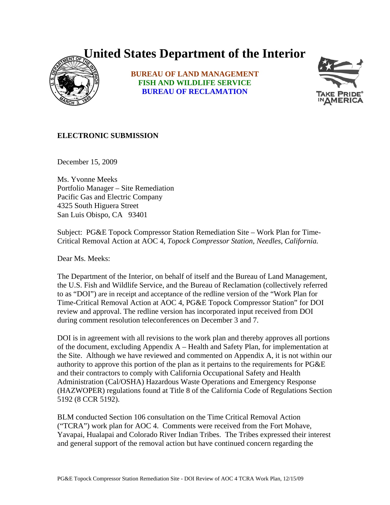## **United States Department of the Interior**



**BUREAU OF LAND MANAGEMENT FISH AND WILDLIFE SERVICE BUREAU OF RECLAMATION**



## **ELECTRONIC SUBMISSION**

December 15, 2009

Ms. Yvonne Meeks Portfolio Manager – Site Remediation Pacific Gas and Electric Company 4325 South Higuera Street San Luis Obispo, CA 93401

Subject: PG&E Topock Compressor Station Remediation Site – Work Plan for Time-Critical Removal Action at AOC 4*, Topock Compressor Station, Needles, California.* 

Dear Ms. Meeks:

The Department of the Interior, on behalf of itself and the Bureau of Land Management, the U.S. Fish and Wildlife Service, and the Bureau of Reclamation (collectively referred to as "DOI") are in receipt and acceptance of the redline version of the "Work Plan for Time-Critical Removal Action at AOC 4, PG&E Topock Compressor Station" for DOI review and approval. The redline version has incorporated input received from DOI during comment resolution teleconferences on December 3 and 7.

DOI is in agreement with all revisions to the work plan and thereby approves all portions of the document, excluding Appendix A – Health and Safety Plan, for implementation at the Site. Although we have reviewed and commented on Appendix A, it is not within our authority to approve this portion of the plan as it pertains to the requirements for PG&E and their contractors to comply with California Occupational Safety and Health Administration (Cal/OSHA) Hazardous Waste Operations and Emergency Response (HAZWOPER) regulations found at Title 8 of the California Code of Regulations Section 5192 (8 CCR 5192).

BLM conducted Section 106 consultation on the Time Critical Removal Action ("TCRA") work plan for AOC 4. Comments were received from the Fort Mohave, Yavapai, Hualapai and Colorado River Indian Tribes. The Tribes expressed their interest and general support of the removal action but have continued concern regarding the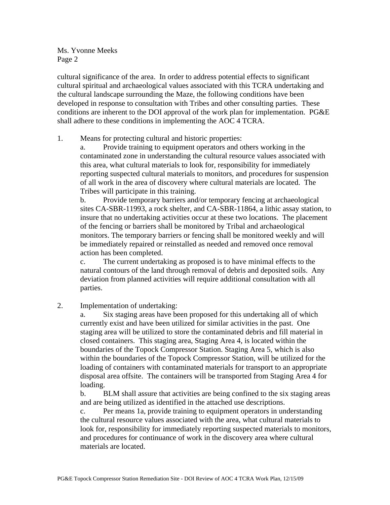Ms. Yvonne Meeks Page 2

cultural significance of the area. In order to address potential effects to significant cultural spiritual and archaeological values associated with this TCRA undertaking and the cultural landscape surrounding the Maze, the following conditions have been developed in response to consultation with Tribes and other consulting parties. These conditions are inherent to the DOI approval of the work plan for implementation. PG&E shall adhere to these conditions in implementing the AOC 4 TCRA.

## 1. Means for protecting cultural and historic properties:

a. Provide training to equipment operators and others working in the contaminated zone in understanding the cultural resource values associated with this area, what cultural materials to look for, responsibility for immediately reporting suspected cultural materials to monitors, and procedures for suspension of all work in the area of discovery where cultural materials are located. The Tribes will participate in this training.

b. Provide temporary barriers and/or temporary fencing at archaeological sites CA-SBR-11993, a rock shelter, and CA-SBR-11864, a lithic assay station, to insure that no undertaking activities occur at these two locations. The placement of the fencing or barriers shall be monitored by Tribal and archaeological monitors. The temporary barriers or fencing shall be monitored weekly and will be immediately repaired or reinstalled as needed and removed once removal action has been completed.

c. The current undertaking as proposed is to have minimal effects to the natural contours of the land through removal of debris and deposited soils. Any deviation from planned activities will require additional consultation with all parties.

## 2. Implementation of undertaking:

a. Six staging areas have been proposed for this undertaking all of which currently exist and have been utilized for similar activities in the past. One staging area will be utilized to store the contaminated debris and fill material in closed containers. This staging area, Staging Area 4, is located within the boundaries of the Topock Compressor Station. Staging Area 5, which is also within the boundaries of the Topock Compressor Station, will be utilized for the loading of containers with contaminated materials for transport to an appropriate disposal area offsite. The containers will be transported from Staging Area 4 for loading.

b. BLM shall assure that activities are being confined to the six staging areas and are being utilized as identified in the attached use descriptions.

c. Per means 1a, provide training to equipment operators in understanding the cultural resource values associated with the area, what cultural materials to look for, responsibility for immediately reporting suspected materials to monitors, and procedures for continuance of work in the discovery area where cultural materials are located.